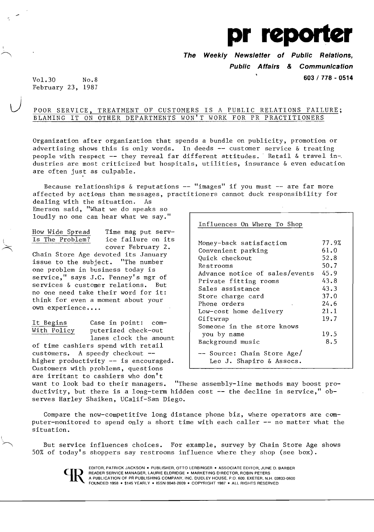

**The Weekly Newsletter of Public Relations,** 

**Public Affairs & Communication** 

**603/ 778 - 0514** 

Vol.30 No.8 February 23, 1987

## POOR SERVICE, TREATMENT OF CUSTOMERS IS A PUBLIC RELATIONS FAILURE; BLAMING IT ON OTHER DEPARTMENTS WON'T WORK FOR PR PRACTITIONERS

Organization after organization that spends a bundle on publicity, promotion or advertising shows this is only words. In deeds -- customer service & treating people with respect -- they reveal far different attitudes. Retail & travel industries are most criticized but hospitals, utilities, insurance & even education are often just as culpable.

Because relationships  $\&$  reputations -- "images" if you must -- are far more affected by actions than messages, practitioners cannot duck responsibility for dealing with the situation. As

Emerson said, "What we do speaks so loudly no one can hear what we say."

How Wide Spread Time mag put serv-Is The Problem? ice failure on its cover February 2. Chain Store Age devoted its January issue to the subject. "The number one problem in business today is service," says J.C. Penney's mgr of services & customer relations. But no one need take their word for it: think for even a moment about your own experience....

l

It Begins Case in point: computerized check-out lanes clock the amount

of time cashiers spend with retail customers. A speedy checkout -higher productivity -- is encouraged. Customers with problems, questions are irritant to cashiers who don't

## Influences On Where To Shop

| Money-back satisfaction<br>Convenient parking<br>Quick checkout<br>Restrooms<br>Advance notice of sales/events<br>Private fitting rooms<br>Sales assistance<br>Store charge card | 77.9%<br>61.0<br>52.8<br>50.7<br>45.9<br>43.8<br>43.3<br>37.0 |
|----------------------------------------------------------------------------------------------------------------------------------------------------------------------------------|---------------------------------------------------------------|
| Phone orders                                                                                                                                                                     | 24.6                                                          |
| Low-cost home delivery                                                                                                                                                           | 21.1                                                          |
| Giftwrap                                                                                                                                                                         | 19.7                                                          |
| Someone in the store knows                                                                                                                                                       |                                                               |
| you by name                                                                                                                                                                      | 19.5                                                          |
| Background music                                                                                                                                                                 | 8.5                                                           |
| -- Source: Chain Store Age/<br>Leo J. Shapiro & Assocs.                                                                                                                          |                                                               |

want to look bad to their managers. "These assembly-line methods may boost productivity, but there is a long-term hidden cost -- the decline in service," observes Harley Shaiken, UCalif-San Diego.

Compare the now-competitive long distance phone biz, where operators are computer-monitored to spend only a short time with each caller  $--$  no matter what the situation.

But service influences choices. For example, survey by Chain Store Age shows 50% of today's shoppers say restrooms influence where they shop (see box).



EDITOR, PATRICK JACKSON. PUBLISHER, OTTO LERBINGER • ASSOCIATE EDITOR, JUNE D. BARBER READER SERVICE MANAGER, LAURIE ELDRIDGE . MARKETING DIRECTOR, ROBIN PETERS A PUBLICATION OF PR PUBLISHING COMPANY, INC. DUDLEY HOUSE, P.O. 600. EXETER, N.H. 03833-0600 FOUNDED 1958 · \$145 YEARLY · ISSN 0048-2609 · COPYRIGHT 1987 · ALL RIGHTS RESERVED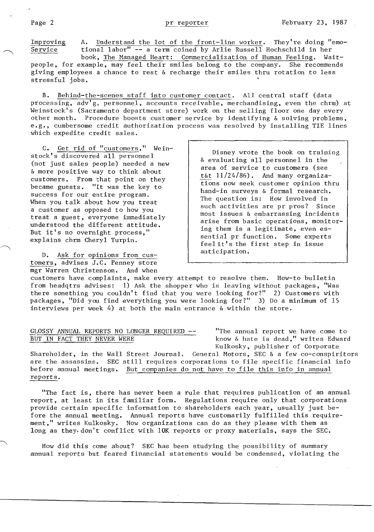Improving 4. Understand the lot of the front-line worker. They're doing "emo-<br>Service tional labor" -- a term coined by Arlie Russell Hochschild in her tional labor" -- a term coined by Arlie Russell Hochschild in her<br>book, The Managed Heart: Commercialization of Human Feeling. Waitbook, The Managed Heart: Commercialization of Human Feeling. people, for example, may feel their smiles belong to the company. She recommends giving employees a chance to rest & recharge their smiles thru rotation to less

B. Behind-the-scenes staff into customer contact. All central staff (data processing, adv'g, personnel, accounts receivable, merchandising, even the chrm) at Weinstock's (Sacramento department store) work on the selling floor one day every other month. Procedure boosts customer service by identifying & solving problems, e.g., cumbersome credit authorization process was resolved by installing TIE lines which expedite credit sales.

C. Get rid of "customers." Wein-<br>stock's discovered all personnel bisney wrote the book on training<br>(not just sales people) needed a new area of service to customers (see A more positive way to think about<br>
the more positive way to think about<br>
customers. From that point on they<br>
became guests. "It was the key to hand-in surveys & formal research. success for our entire program.<br>
When you talk about how you treat a customer as opposed to how you such activities are pr pros? Since

D. Ask for opinions from cus-<br>
anticipation. tomers, advises J.C. Penney store mgr Warren Christenson. And when

a customer as opposed to how you<br>treat a guest, everyone immediately<br>understood the different attitude.<br>But it's no overnight process,"<br>explains chrm Cheryl Turpin.<br>explains chrm Cheryl Turpin.<br> $\begin{array}{c|c|c|c|c|c|c|c} \text{such} &$ 

customers have complaints, make every attempt to resolve them. How-to bulletin from headqtrs advises: 1) Ask the shopper who is leaving without packages, "Was there something you couldn't find that you were looking for?" 2) Customers with packages, "Did you find everything you were looking for?" 3) Do a minimum of 15 interviews per week 4) at both the main entrance & within the store.

## GLOSSY ANNUAL REPORTS NO LONGER REQUIRED  $--$  "The annual report we have come to BUT IN FACT THEY NEVER WERE **KNOW & hate is dead,"** writes Edward

Kulkosky, publisher of Corporate

Shareholder, in the Wall Street Journal. General Motors, SEC & a few co-conspiritors are the assassins. SEC still requires corporations to file specific financial info before annual meetings. But companies do not have to file this info in annual reports.

"The fact is, there has never been a rule that requires publication of an annual report, at least in its familiar form. Regulations require only that corporations provide certain specific information to shareholders each year, usually just before the annual meeting. Annual reports have customarily fulfilled this requirement," writes Kulkosky. Now organizations can do as they please with them as long as they. don't conflict with 10K reports or proxy materials, says the SEC.

How did this come about? SEC has been studying the possibility of summary annual reports but feared financial statements would be condensed, violating the

stressful jobs.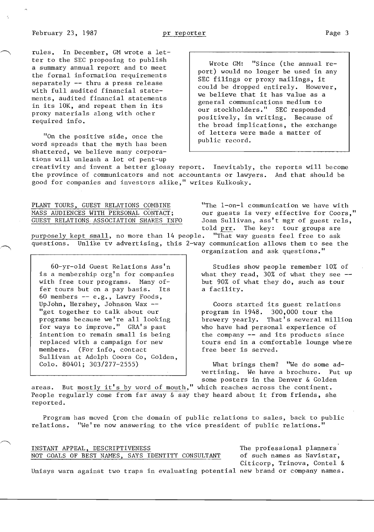rules. In December, GM wrote a letter to the SEC proposing to publish a summary annual report and to meet the formal information requirements separately -- thru a press release with full audited financial statements, audited financial statements in its 10K, and repeat them in its proxy materials along with other required info.

"On the positive side, once the word spreads that the myth has been shattered, we believe many corporations will unleash a lot of pent-up

Wrote GM: "Since (the annual report) would no longer be used in any SEC filings or proxy mailings, it could be dropped entirely. However, we believe that it has value as a general communications medium to our stockholders." SEC responded positively, in writing. Because of the broad implications, the exchange of letters were made a matter of public record.

creativity and invent a better glossy report. Inevitably, the reports will become the province of communicators and not accountants or lawyers. And that should be good for companies and investors alike," writes Kulkosky.

PLANT TOURS, GUEST RELATIONS COMBINE MASS AUDIENCES WITH PERSONAL CONTACT; GUEST RELATIONS ASSOCIATION SHARES INFO

purposely kept small, no more than  $14$  people. questions. Unlike tv advertising, this 2-way communication allows them to see the

60-yr-old Guest Relations Ass'n is a membership org'n for companies with free tour programs. Many offer tours but on a pay basis. Its 60 members -- e.g., Lawry Foods, UpJohn, Hershey, Johnson Wax - "get together to talk about our programs because we're all looking for ways to improve." GRA's past intention to remain small is being replaced with a campaign for new members. (For info, contact Sullivan at Adolph Coors Co, Golden, Colo. 80401; 303/277-2555)

"The l-on-l communication we have with our guests is very effective for Coors," Joan Sullivan, ass't mgr of guest rels, told prr. The key: tour groups are<br>. "That way guests feel free to ask

Studies show people remember 10% of what they read, 30% of what they see  but 90% of what they do, such as tour a facility.

organization and ask questions."

Coors started its guest relations program in 1948. 300,000 tour the brewery yearly. That's several million who have had personal experience of the company -- and its products since tours end in a comfortable lounge where free beer is served.

What brings them? "We do some advertising. We have a brochure. Put up some posters in the Denver & Golden

areas. But mostly it's by word of mouth," which reaches across the continent. People regularly come from far away  $\delta$  say they heard about it from friends, she reported.

Program has moved from the domain of public relations to sales, back to public relations. "He're now answering to the vice president of public relations."

|  |  | INSTANT APPEAL, DESCRIPTIVENESS |  |                                                   |
|--|--|---------------------------------|--|---------------------------------------------------|
|  |  |                                 |  | NOT GOALS OF BEST NAMES, SAYS IDENTITY CONSULTANT |

The professional planners of such names as Navistar, Citicorp, Trinova, Contel &

Unisys warn against two traps in evaluating potential new brand or company names.